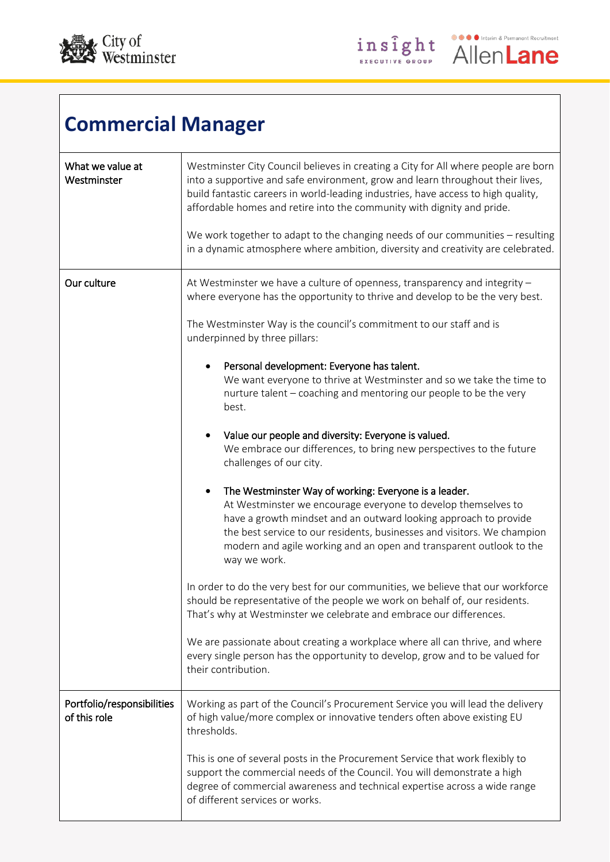

| <b>Commercial Manager</b>                  |                                                                                                                                                                                                                                                                                                                                                              |  |
|--------------------------------------------|--------------------------------------------------------------------------------------------------------------------------------------------------------------------------------------------------------------------------------------------------------------------------------------------------------------------------------------------------------------|--|
| What we value at<br>Westminster            | Westminster City Council believes in creating a City for All where people are born<br>into a supportive and safe environment, grow and learn throughout their lives,<br>build fantastic careers in world-leading industries, have access to high quality,<br>affordable homes and retire into the community with dignity and pride.                          |  |
|                                            | We work together to adapt to the changing needs of our communities - resulting<br>in a dynamic atmosphere where ambition, diversity and creativity are celebrated.                                                                                                                                                                                           |  |
| Our culture                                | At Westminster we have a culture of openness, transparency and integrity -<br>where everyone has the opportunity to thrive and develop to be the very best.                                                                                                                                                                                                  |  |
|                                            | The Westminster Way is the council's commitment to our staff and is<br>underpinned by three pillars:                                                                                                                                                                                                                                                         |  |
|                                            | Personal development: Everyone has talent.<br>٠<br>We want everyone to thrive at Westminster and so we take the time to<br>nurture talent - coaching and mentoring our people to be the very<br>best.                                                                                                                                                        |  |
|                                            | Value our people and diversity: Everyone is valued.<br>We embrace our differences, to bring new perspectives to the future<br>challenges of our city.                                                                                                                                                                                                        |  |
|                                            | The Westminster Way of working: Everyone is a leader.<br>At Westminster we encourage everyone to develop themselves to<br>have a growth mindset and an outward looking approach to provide<br>the best service to our residents, businesses and visitors. We champion<br>modern and agile working and an open and transparent outlook to the<br>way we work. |  |
|                                            | In order to do the very best for our communities, we believe that our workforce<br>should be representative of the people we work on behalf of, our residents.<br>That's why at Westminster we celebrate and embrace our differences.                                                                                                                        |  |
|                                            | We are passionate about creating a workplace where all can thrive, and where<br>every single person has the opportunity to develop, grow and to be valued for<br>their contribution.                                                                                                                                                                         |  |
| Portfolio/responsibilities<br>of this role | Working as part of the Council's Procurement Service you will lead the delivery<br>of high value/more complex or innovative tenders often above existing EU<br>thresholds.                                                                                                                                                                                   |  |
|                                            | This is one of several posts in the Procurement Service that work flexibly to<br>support the commercial needs of the Council. You will demonstrate a high<br>degree of commercial awareness and technical expertise across a wide range<br>of different services or works.                                                                                   |  |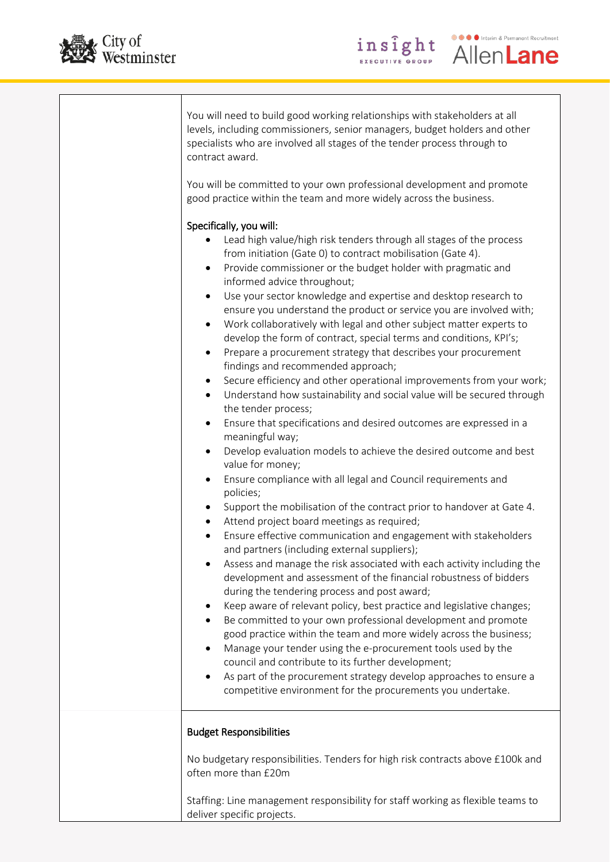



**O** O Interim & Permanent Recruitment

**AllenLane** 

insight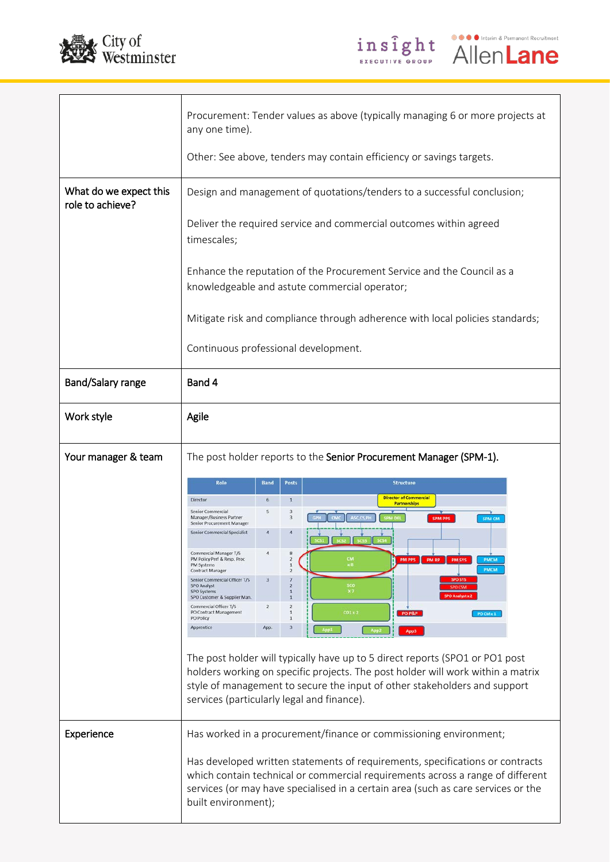



|                                            | Procurement: Tender values as above (typically managing 6 or more projects at<br>any one time).                                                                                                                                                                                            |
|--------------------------------------------|--------------------------------------------------------------------------------------------------------------------------------------------------------------------------------------------------------------------------------------------------------------------------------------------|
|                                            | Other: See above, tenders may contain efficiency or savings targets.                                                                                                                                                                                                                       |
| What do we expect this<br>role to achieve? | Design and management of quotations/tenders to a successful conclusion;                                                                                                                                                                                                                    |
|                                            | Deliver the required service and commercial outcomes within agreed<br>timescales;                                                                                                                                                                                                          |
|                                            | Enhance the reputation of the Procurement Service and the Council as a<br>knowledgeable and astute commercial operator;                                                                                                                                                                    |
|                                            | Mitigate risk and compliance through adherence with local policies standards;                                                                                                                                                                                                              |
|                                            | Continuous professional development.                                                                                                                                                                                                                                                       |
| Band/Salary range                          | Band 4                                                                                                                                                                                                                                                                                     |
| Work style                                 | Agile                                                                                                                                                                                                                                                                                      |
| Your manager & team                        | The post holder reports to the Senior Procurement Manager (SPM-1).                                                                                                                                                                                                                         |
|                                            | <b>Band</b><br>Role<br><b>Posts</b><br><b>Structure</b><br><b>Director of Commercial</b><br>$\mathbf 1$<br>$6\phantom{1}$                                                                                                                                                                  |
|                                            | Director<br><b>Partnerships</b><br>S<br>$\overline{3}$<br>Senior Commercial<br>3<br>ASC CS PI<br>Manager/Business Partner<br><b>SPM PPS</b><br><b>SPM CM</b>                                                                                                                               |
|                                            | Senior Procurement Manager<br>Senior Commercial Specialist                                                                                                                                                                                                                                 |
|                                            | Commercial Manager T/S<br>$\overline{A}$<br>PM Policy Perf & Resp. Proc<br>PM PPS<br>PM RP<br><b>PM SYS</b><br><b>PMCM</b><br>PM Systems<br><b>PMCM</b><br>Contract Manager                                                                                                                |
|                                            | Senior Commercial Officer T/S<br><b>SPO SY!</b><br>sco<br><b>SPO Analyst</b><br>x <sub>7</sub><br><b>SPO Systems</b><br>$\mathbf{1}$                                                                                                                                                       |
|                                            | <b>SPO Analyst x</b><br>SPO Customer & Supplier Man.<br>Commercial Officer T/S<br>$\overline{2}$<br>$\overline{2}$<br>PO Contract Management<br>CO1 x 2<br>1<br>PO P&P<br>PO CM x 1<br>PO Policy<br>1                                                                                      |
|                                            | Apprentice<br>App.<br>з<br>App3                                                                                                                                                                                                                                                            |
|                                            |                                                                                                                                                                                                                                                                                            |
|                                            | The post holder will typically have up to 5 direct reports (SPO1 or PO1 post<br>holders working on specific projects. The post holder will work within a matrix<br>style of management to secure the input of other stakeholders and support<br>services (particularly legal and finance). |
| Experience                                 | Has worked in a procurement/finance or commissioning environment;                                                                                                                                                                                                                          |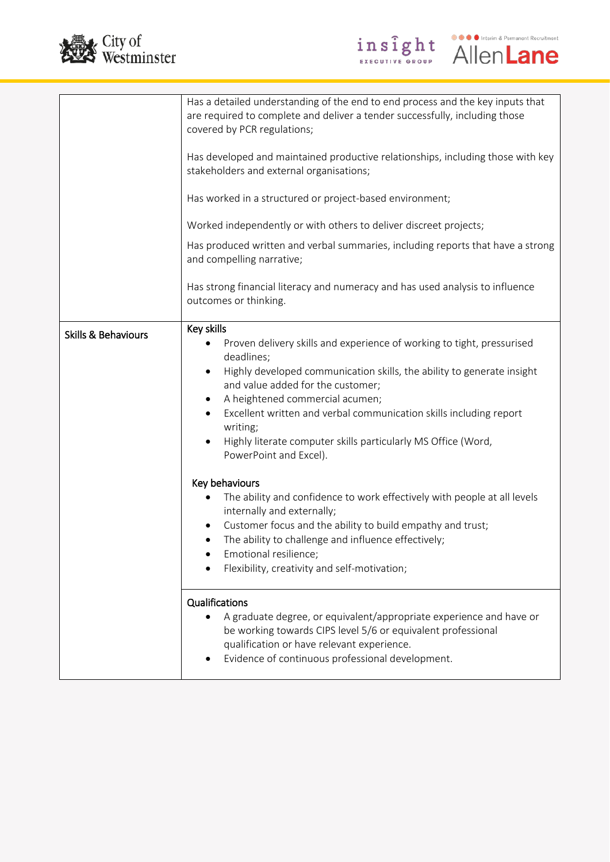



|                                | Has a detailed understanding of the end to end process and the key inputs that<br>are required to complete and deliver a tender successfully, including those<br>covered by PCR regulations;<br>Has developed and maintained productive relationships, including those with key<br>stakeholders and external organisations;<br>Has worked in a structured or project-based environment;<br>Worked independently or with others to deliver discreet projects;<br>Has produced written and verbal summaries, including reports that have a strong<br>and compelling narrative;                                                                                                                                                                                                       |
|--------------------------------|------------------------------------------------------------------------------------------------------------------------------------------------------------------------------------------------------------------------------------------------------------------------------------------------------------------------------------------------------------------------------------------------------------------------------------------------------------------------------------------------------------------------------------------------------------------------------------------------------------------------------------------------------------------------------------------------------------------------------------------------------------------------------------|
|                                | Has strong financial literacy and numeracy and has used analysis to influence<br>outcomes or thinking.                                                                                                                                                                                                                                                                                                                                                                                                                                                                                                                                                                                                                                                                             |
| <b>Skills &amp; Behaviours</b> | Key skills<br>Proven delivery skills and experience of working to tight, pressurised<br>deadlines;<br>Highly developed communication skills, the ability to generate insight<br>$\bullet$<br>and value added for the customer;<br>A heightened commercial acumen;<br>٠<br>Excellent written and verbal communication skills including report<br>writing;<br>Highly literate computer skills particularly MS Office (Word,<br>PowerPoint and Excel).<br>Key behaviours<br>The ability and confidence to work effectively with people at all levels<br>internally and externally;<br>Customer focus and the ability to build empathy and trust;<br>The ability to challenge and influence effectively;<br>٠<br>Emotional resilience;<br>Flexibility, creativity and self-motivation; |
|                                | Qualifications<br>A graduate degree, or equivalent/appropriate experience and have or<br>be working towards CIPS level 5/6 or equivalent professional<br>qualification or have relevant experience.<br>Evidence of continuous professional development.                                                                                                                                                                                                                                                                                                                                                                                                                                                                                                                            |